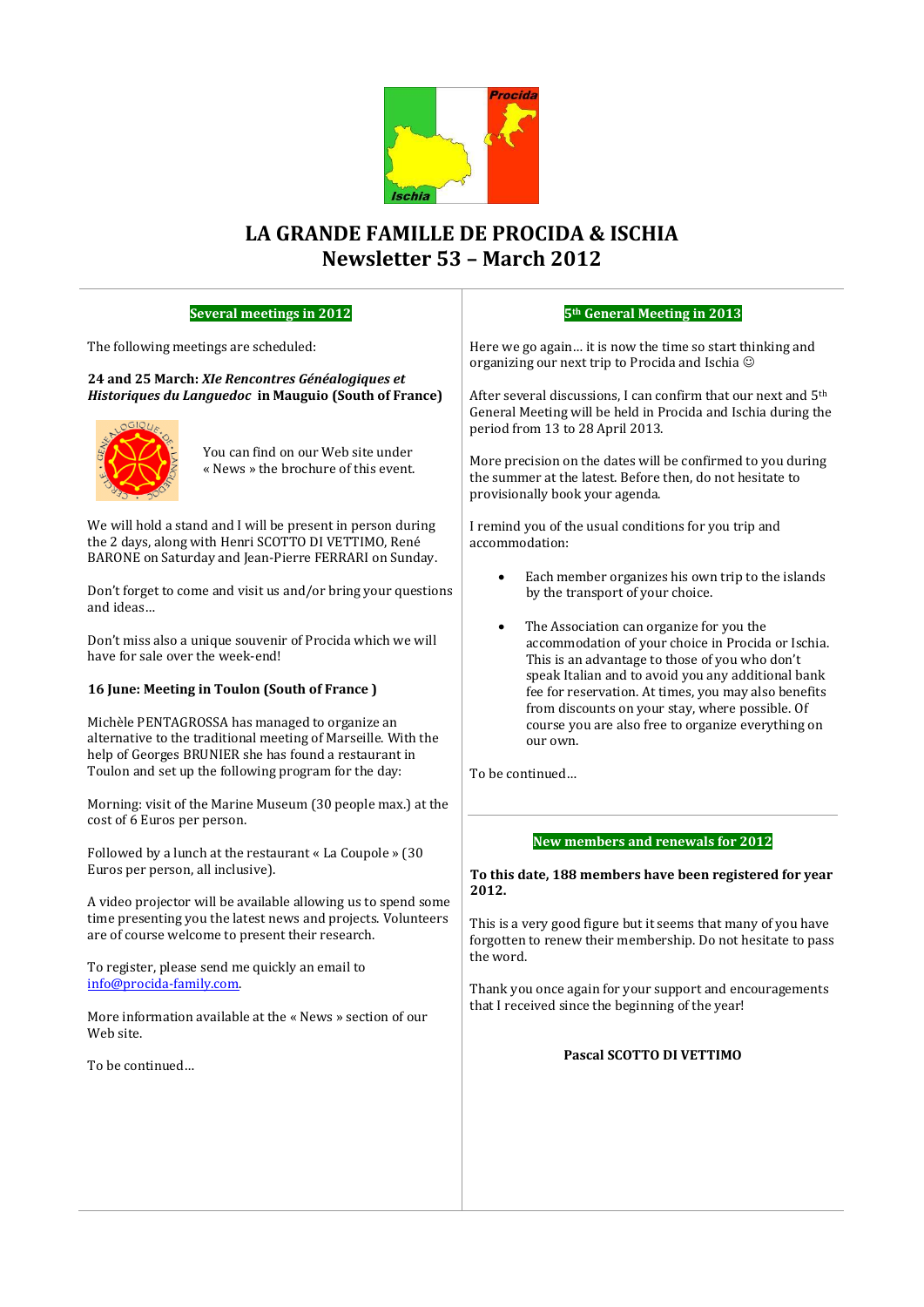

# **LA GRANDE FAMILLE DE PROCIDA & ISCHIA Newsletter 53 – March 2012**

## **Several meetings in 2012**

The following meetings are scheduled:

**24 and 25 March:** *XIe Rencontres Généalogiques et Historiques du Languedoc* **in Mauguio (South of France)**



You can find on our Web site under « News » the brochure of this event.

We will hold a stand and I will be present in person during the 2 days, along with Henri SCOTTO DI VETTIMO, René BARONE on Saturday and Jean-Pierre FERRARI on Sunday.

Don't forget to come and visit us and/or bring your questions and ideas…

Don't miss also a unique souvenir of Procida which we will have for sale over the week-end!

# **16 June: Meeting in Toulon (South of France )**

Michèle PENTAGROSSA has managed to organize an alternative to the traditional meeting of Marseille. With the help of Georges BRUNIER she has found a restaurant in Toulon and set up the following program for the day:

Morning: visit of the Marine Museum (30 people max.) at the cost of 6 Euros per person.

Followed by a lunch at the restaurant « La Coupole » (30 Euros per person, all inclusive).

A video projector will be available allowing us to spend some time presenting you the latest news and projects. Volunteers are of course welcome to present their research.

To register, please send me quickly an email to [info@procida-family.com.](mailto:info@procida-family.com)

More information available at the « News » section of our Web site.

To be continued…

## **5th General Meeting in 2013**

Here we go again… it is now the time so start thinking and organizing our next trip to Procida and Ischia

After several discussions, I can confirm that our next and 5th General Meeting will be held in Procida and Ischia during the period from 13 to 28 April 2013.

More precision on the dates will be confirmed to you during the summer at the latest. Before then, do not hesitate to provisionally book your agenda.

I remind you of the usual conditions for you trip and accommodation:

- Each member organizes his own trip to the islands by the transport of your choice.
- The Association can organize for you the accommodation of your choice in Procida or Ischia. This is an advantage to those of you who don't speak Italian and to avoid you any additional bank fee for reservation. At times, you may also benefits from discounts on your stay, where possible. Of course you are also free to organize everything on our own.

To be continued…

# **New members and renewals for 2012**

## **To this date, 188 members have been registered for year 2012.**

This is a very good figure but it seems that many of you have forgotten to renew their membership. Do not hesitate to pass the word.

Thank you once again for your support and encouragements that I received since the beginning of the year!

## **Pascal SCOTTO DI VETTIMO**